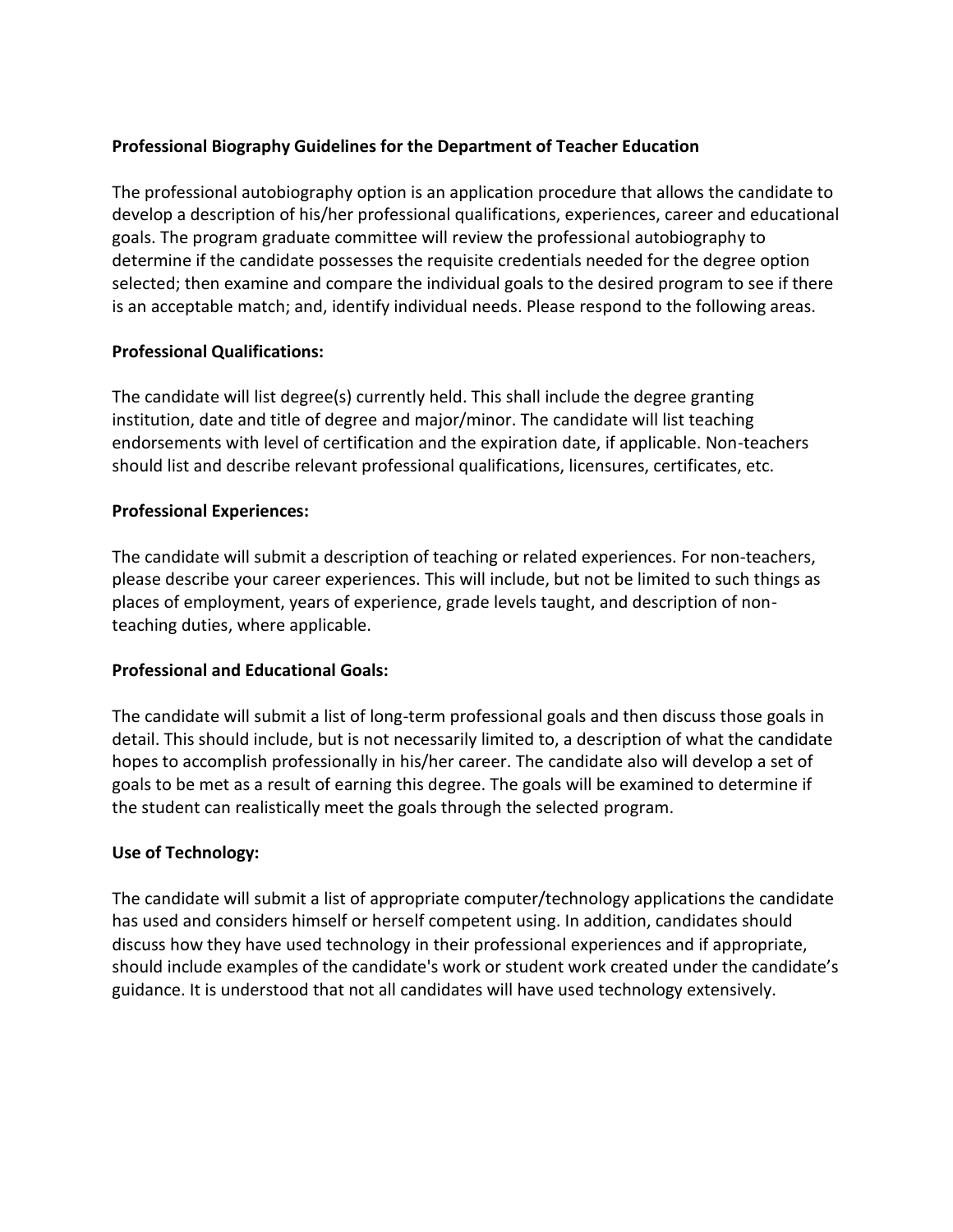# **Professional Biography Guidelines for the Department of Teacher Education**

The professional autobiography option is an application procedure that allows the candidate to develop a description of his/her professional qualifications, experiences, career and educational goals. The program graduate committee will review the professional autobiography to determine if the candidate possesses the requisite credentials needed for the degree option selected; then examine and compare the individual goals to the desired program to see if there is an acceptable match; and, identify individual needs. Please respond to the following areas.

### **Professional Qualifications:**

The candidate will list degree(s) currently held. This shall include the degree granting institution, date and title of degree and major/minor. The candidate will list teaching endorsements with level of certification and the expiration date, if applicable. Non-teachers should list and describe relevant professional qualifications, licensures, certificates, etc.

### **Professional Experiences:**

The candidate will submit a description of teaching or related experiences. For non-teachers, please describe your career experiences. This will include, but not be limited to such things as places of employment, years of experience, grade levels taught, and description of nonteaching duties, where applicable.

#### **Professional and Educational Goals:**

The candidate will submit a list of long-term professional goals and then discuss those goals in detail. This should include, but is not necessarily limited to, a description of what the candidate hopes to accomplish professionally in his/her career. The candidate also will develop a set of goals to be met as a result of earning this degree. The goals will be examined to determine if the student can realistically meet the goals through the selected program.

# **Use of Technology:**

The candidate will submit a list of appropriate computer/technology applications the candidate has used and considers himself or herself competent using. In addition, candidates should discuss how they have used technology in their professional experiences and if appropriate, should include examples of the candidate's work or student work created under the candidate's guidance. It is understood that not all candidates will have used technology extensively.